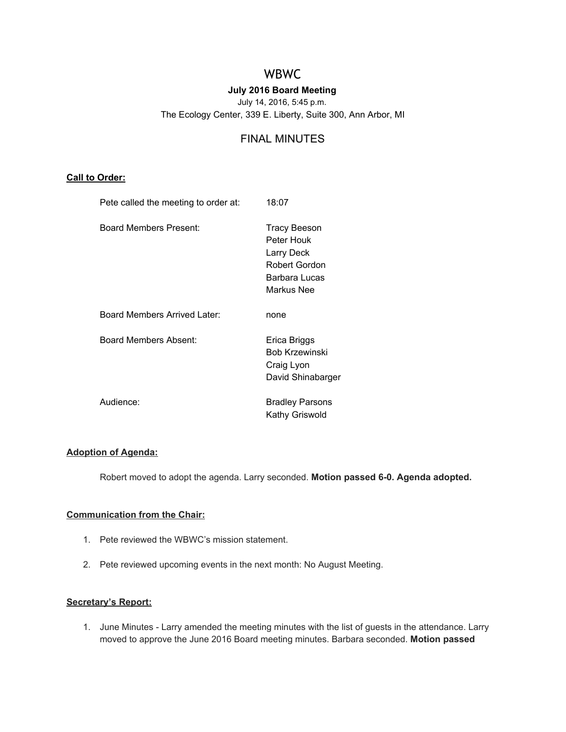# WBWC

# **July 2016 Board Meeting**

July 14, 2016, 5:45 p.m.

The Ecology Center, 339 E. Liberty, Suite 300, Ann Arbor, MI

# FINAL MINUTES

#### **Call to Order:**

| Pete called the meeting to order at: | 18:07                                                                                    |
|--------------------------------------|------------------------------------------------------------------------------------------|
| Board Members Present:               | Tracy Beeson<br>Peter Houk<br>Larry Deck<br>Robert Gordon<br>Barbara Lucas<br>Markus Nee |
| Board Members Arrived Later:         | none                                                                                     |
| Board Members Absent:                | Erica Briggs<br><b>Bob Krzewinski</b><br>Craig Lyon<br>David Shinabarger                 |
| Audience:                            | <b>Bradley Parsons</b><br>Kathy Griswold                                                 |

#### **Adoption of Agenda:**

Robert moved to adopt the agenda. Larry seconded. Motion passed 6-0. Agenda adopted.

# **Communication from the Chair:**

- 1. Pete reviewed the WBWC's mission statement.
- 2. Pete reviewed upcoming events in the next month: No August Meeting.

## **Secretary's Report:**

1. June Minutes - Larry amended the meeting minutes with the list of guests in the attendance. Larry moved to approve the June 2016 Board meeting minutes. Barbara seconded. **Motion passed**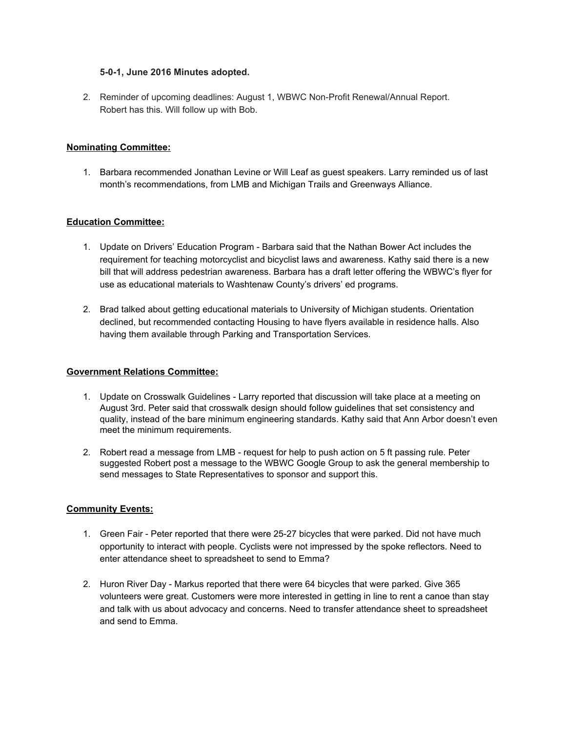#### **501, June 2016 Minutes adopted.**

2. Reminder of upcoming deadlines: August 1, WBWC Non-Profit Renewal/Annual Report. Robert has this. Will follow up with Bob.

#### **Nominating Committee:**

1. Barbara recommended Jonathan Levine or Will Leaf as guest speakers. Larry reminded us of last month's recommendations, from LMB and Michigan Trails and Greenways Alliance.

#### **Education Committee:**

- 1. Update on Drivers' Education Program Barbara said that the Nathan Bower Act includes the requirement for teaching motorcyclist and bicyclist laws and awareness. Kathy said there is a new bill that will address pedestrian awareness. Barbara has a draft letter offering the WBWC's flyer for use as educational materials to Washtenaw County's drivers' ed programs.
- 2. Brad talked about getting educational materials to University of Michigan students. Orientation declined, but recommended contacting Housing to have flyers available in residence halls. Also having them available through Parking and Transportation Services.

#### **Government Relations Committee:**

- 1. Update on Crosswalk Guidelines Larry reported that discussion will take place at a meeting on August 3rd. Peter said that crosswalk design should follow guidelines that set consistency and quality, instead of the bare minimum engineering standards. Kathy said that Ann Arbor doesn't even meet the minimum requirements.
- 2. Robert read a message from LMB request for help to push action on 5 ft passing rule. Peter suggested Robert post a message to the WBWC Google Group to ask the general membership to send messages to State Representatives to sponsor and support this.

#### **Community Events:**

- 1. Green Fair Peter reported that there were 25-27 bicycles that were parked. Did not have much opportunity to interact with people. Cyclists were not impressed by the spoke reflectors. Need to enter attendance sheet to spreadsheet to send to Emma?
- 2. Huron River Day Markus reported that there were 64 bicycles that were parked. Give 365 volunteers were great. Customers were more interested in getting in line to rent a canoe than stay and talk with us about advocacy and concerns. Need to transfer attendance sheet to spreadsheet and send to Emma.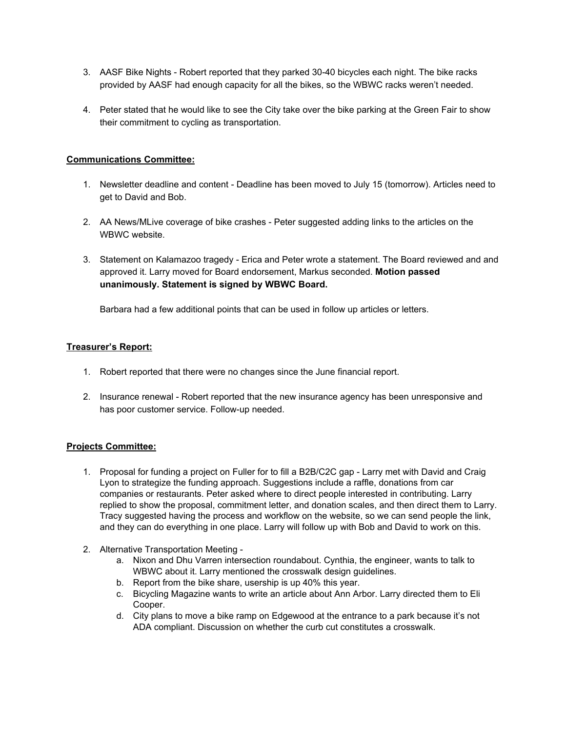- 3. AASF Bike Nights Robert reported that they parked 30-40 bicycles each night. The bike racks provided by AASF had enough capacity for all the bikes, so the WBWC racks weren't needed.
- 4. Peter stated that he would like to see the City take over the bike parking at the Green Fair to show their commitment to cycling as transportation.

#### **Communications Committee:**

- 1. Newsletter deadline and content Deadline has been moved to July 15 (tomorrow). Articles need to get to David and Bob.
- 2. AA News/MLive coverage of bike crashes Peter suggested adding links to the articles on the WBWC website.
- 3. Statement on Kalamazoo tragedy Erica and Peter wrote a statement. The Board reviewed and and approved it. Larry moved for Board endorsement, Markus seconded. **Motion passed unanimously. Statement is signed by WBWC Board.**

Barbara had a few additional points that can be used in follow up articles or letters.

#### **Treasurer's Report:**

- 1. Robert reported that there were no changes since the June financial report.
- 2. Insurance renewal Robert reported that the new insurance agency has been unresponsive and has poor customer service. Follow-up needed.

#### **Projects Committee:**

- 1. Proposal for funding a project on Fuller for to fill a B2B/C2C gap Larry met with David and Craig Lyon to strategize the funding approach. Suggestions include a raffle, donations from car companies or restaurants. Peter asked where to direct people interested in contributing. Larry replied to show the proposal, commitment letter, and donation scales, and then direct them to Larry. Tracy suggested having the process and workflow on the website, so we can send people the link, and they can do everything in one place. Larry will follow up with Bob and David to work on this.
- 2. Alternative Transportation Meeting
	- a. Nixon and Dhu Varren intersection roundabout. Cynthia, the engineer, wants to talk to WBWC about it. Larry mentioned the crosswalk design guidelines.
	- b. Report from the bike share, usership is up 40% this year.
	- c. Bicycling Magazine wants to write an article about Ann Arbor. Larry directed them to Eli Cooper.
	- d. City plans to move a bike ramp on Edgewood at the entrance to a park because it's not ADA compliant. Discussion on whether the curb cut constitutes a crosswalk.